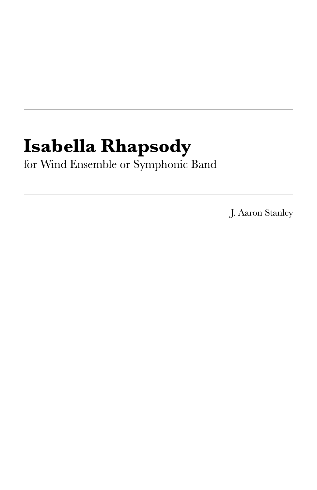for Wind Ensemble or Symphonic Band

J. Aaron Stanley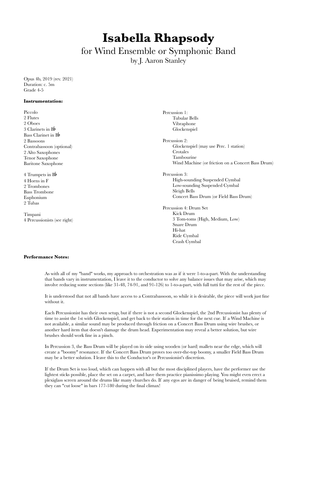Opus 4b, 2019 (rev. 2021) Duration: c. 5m Grade 4-5

#### **Instrumentation:**

- Piccolo 2 Flutes 2 Oboes 3 Clarinets in B♭ Bass Clarinet in B♭ 2 Bassoons Contrabassoon (optional) 2 Alto Saxophones Tenor Saxophone Baritone Saxophone
- 4 Trumpets in B♭ 4 Horns in F 2 Trombones Bass Trombone Euphonium 2 Tubas

Timpani 4 Percussionists (see right) Percussion 1: Tubular Bells Vibraphone Glockenspiel Percussion 2: Glockenspiel (may use Perc. 1 station) Crotales Tambourine Wind Machine (or friction on a Concert Bass Drum) Percussion 3: High-sounding Suspended Cymbal Low-sounding Suspended Cymbal Sleigh Bells Concert Bass Drum (or Field Bass Drum) Percussion 4: Drum Set Kick Drum 3 Tom-toms (High, Medium, Low) Snare Drum Hi-hat

Ride Cymbal Crash Cymbal

As with all of my "band" works, my approach to orchestration was as if it were 1-to-a-part. With the understanding that bands vary in instrumentation, I leave it to the conductor to solve any balance issues that may arise, which may involve reducing some sections (like 31-48, 74-91, and 91-126) to 1-to-a-part, with full tutti for the rest of the piece.

It is understood that not all bands have access to a Contrabassoon, so while it is desirable, the piece will work just fine without it.

Each Percussionist has their own setup, but if there is not a second Glockenspiel, the 2nd Percussionist has plenty of time to assist the 1st with Glockenspiel, and get back to their station in time for the next cue. If a Wind Machine is not available, a similar sound may be produced through friction on a Concert Bass Drum using wire brushes, or another hard item that doesn't damage the drum head. Experimentation may reveal a better solution, but wire brushes should work fine in a pinch.

In Percussion 3, the Bass Drum will be played on its side using wooden (or hard) mallets near the edge, which will create a "boomy" resonance. If the Concert Bass Drum proves too over-the-top boomy, a smaller Field Bass Drum may be a better solution. I leave this to the Conductor's or Percussionist's discretion.

If the Drum Set is too loud, which can happen with all but the most disciplined players, have the performer use the lightest sticks possible, place the set on a carpet, and have them practice pianissimo playing. You might even erect a plexiglass screen around the drums like many churches do. If any egos are in danger of being bruised, remind them they can "cut loose" in bars 177-180 during the final climax!

# **Isabella Rhapsody**

### for Wind Ensemble or Symphonic Band by J. Aaron Stanley

#### **Performance Notes:**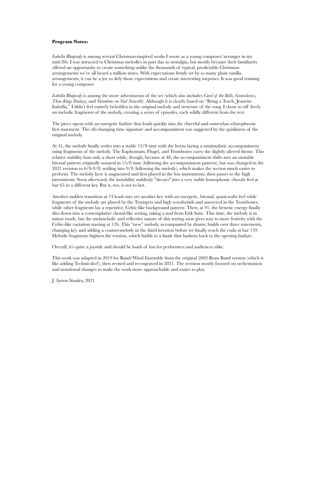*Isabella Rhapsody* is among several Christmas-inspired works I wrote as a young composer/arranger in my mid-20s. I was attracted to Christmas melodies in part due to nostalgia, but mostly because their familiarity offered an opportunity to create something unlike the thousands of typical, predictable Christmas arrangements we've all heard a million times. With expectations firmly set by so many plain vanilla arrangements, it can be a joy to defy those expectations and create interesting surprises. It was good training for a young composer.

*Isabella Rhapsody* is among the more adventurous of the set (which also includes *Carol of the Bells*, *Greensleeves*, *Three Kings Fantasy*, and *Variations on Noel Nouvelët*). Although it is clearly based on "Bring a Torch, Jeanette Isabella," I didn't feel entirely beholden to the original melody and structure of the song. I chose to riff freely on melodic fragments of the melody, creating a series of episodes, each wildly different from the rest.

The piece opens with an energetic fanfare that leads quickly into the cheerful and somewhat schizophrenic first statement. The oft-changing time signature and accompaniment was suggested by the quirkiness of the original melody.

At 31, the melody finally settles into a stable 12/8 time with the horns laying a minimalistic accompaniment using fragments of the melody. The Euphonium, Flugel, and Trombones carry the slightly altered theme. This relative stability lasts only a short while, though, because at 48, the accompaniment shifts into an unstable bitonal pattern originally notated in 15/8 time (following the accompaniment pattern), but was changed in the 2021 revision to 6/8-9/8, settling into 9/8 (following the melody), which makes the section much easier to perform. The melody here is augmented and first played in the low instruments, then passes to the high instruments. Soon afterward, the instability suddenly "decays" into a very stable homophonic chorale feel at bar 65 in a different key. But it, too, is not to last.

Another sudden transition at 74 leads into yet another key with an energetic, bitonal, quasi-waltz feel while fragments of the melody are played by the Trumpets and high woodwinds and answered in the Trombones, while other fragments lay a repetitive, Celtic-like background pattern. Then, at 91, the frenetic energy finally dies down into a contemplative choral-like setting, taking a nod from Erik Satie. This time, the melody is in minor mode, but the melancholic and reflective nature of this setting soon gives way to more festivity with the Celtic-like variation starting at 126. This "new" melody, accompanied by drums, builds over three statements, changing key and adding a countermelody in the third iteration before we finally reach the coda at bar 159. Melodic fragments highten the tension, which builds to a finale that harkens back to the opening fanfare.

Overall, it's quite a joyride and should be loads of fun for performers and audiences alike.

This work was adapted in 2019 for Band/Wind Ensemble from the original 2003 Brass Band version (which is like adding Technicolor!), then revised and re-engraved in 2021. The revision mostly focused on orchestration and notational changes to make the work more approachable and easier to play.

J. Aaron Stanley, 2021

#### **Program Notes:**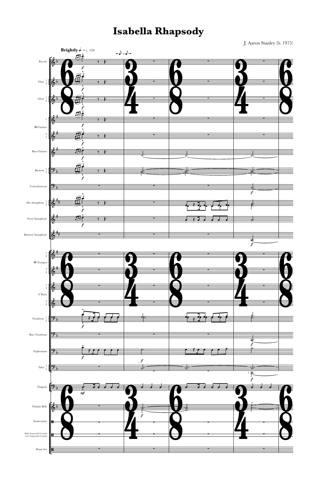

J. Aaron Stanley (b. 1975)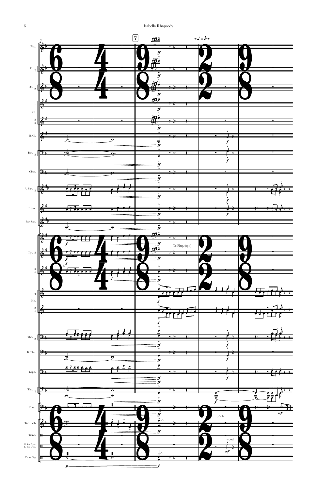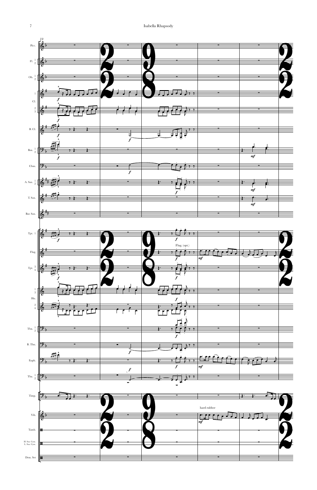

7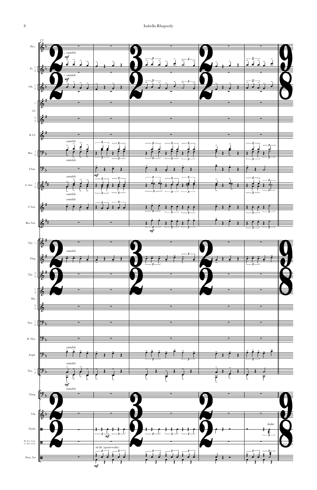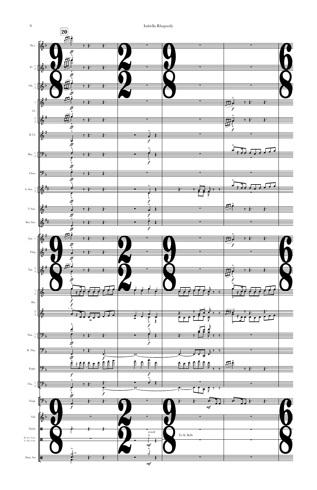

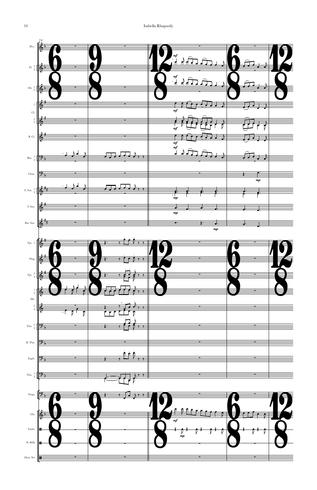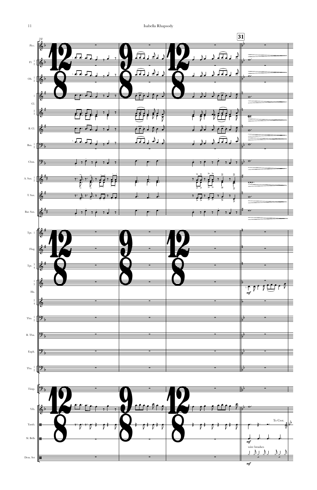![](_page_10_Figure_1.jpeg)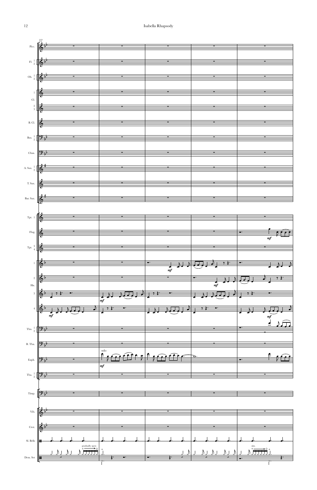![](_page_11_Figure_1.jpeg)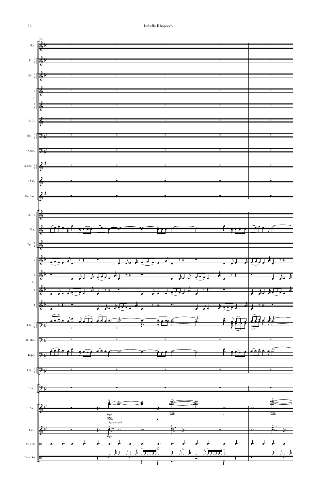![](_page_12_Figure_1.jpeg)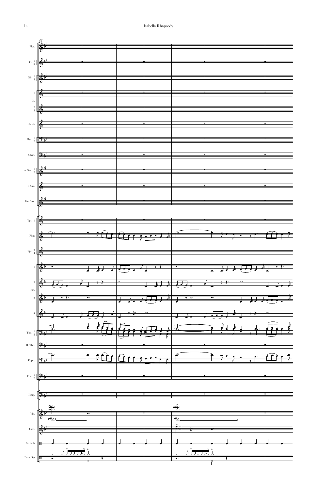![](_page_13_Figure_1.jpeg)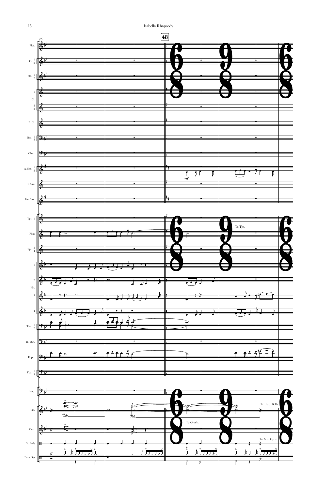![](_page_14_Figure_1.jpeg)

![](_page_14_Figure_0.jpeg)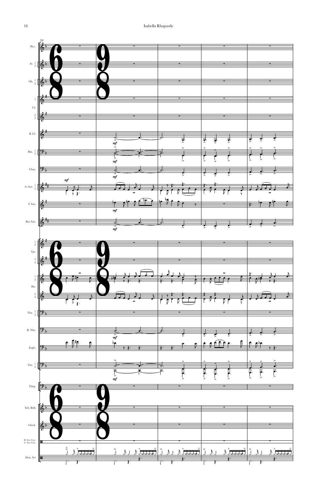![](_page_15_Figure_1.jpeg)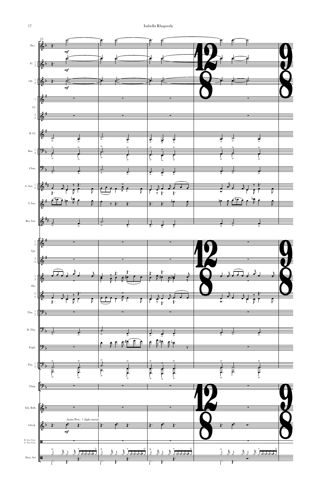![](_page_16_Figure_1.jpeg)

1 7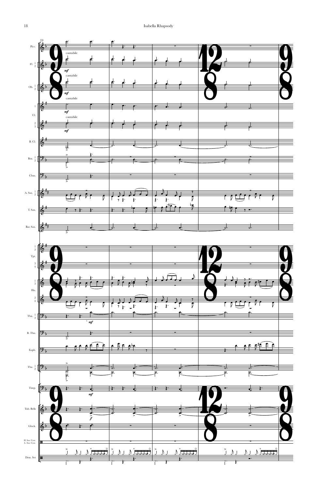![](_page_17_Figure_1.jpeg)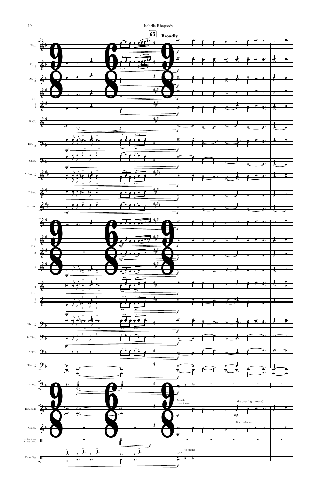![](_page_18_Figure_0.jpeg)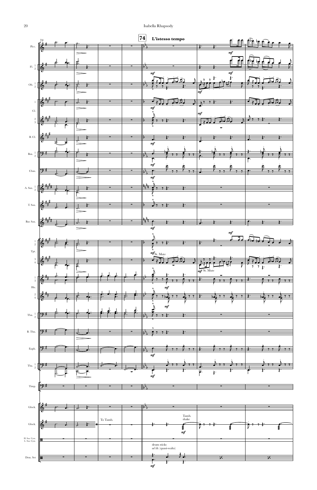![](_page_19_Figure_1.jpeg)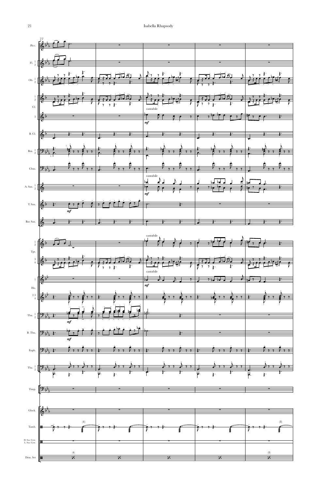![](_page_20_Figure_1.jpeg)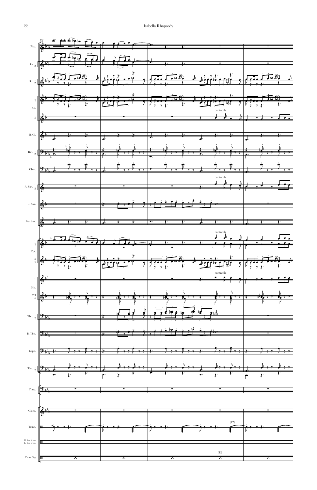![](_page_21_Figure_1.jpeg)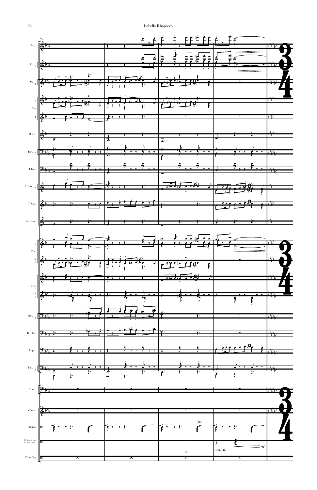![](_page_22_Figure_3.jpeg)

![](_page_22_Figure_1.jpeg)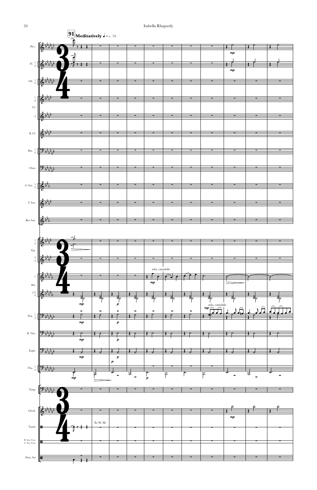![](_page_23_Figure_0.jpeg)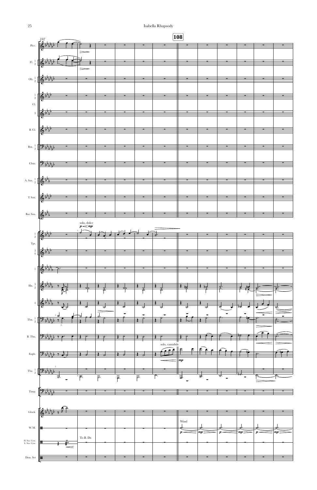![](_page_24_Figure_1.jpeg)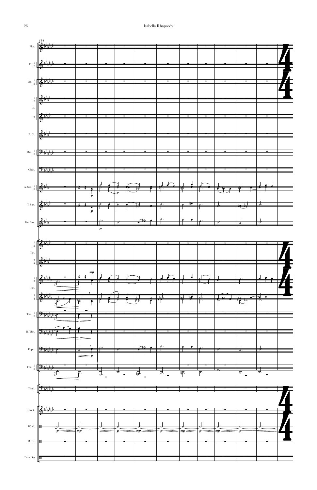![](_page_25_Figure_1.jpeg)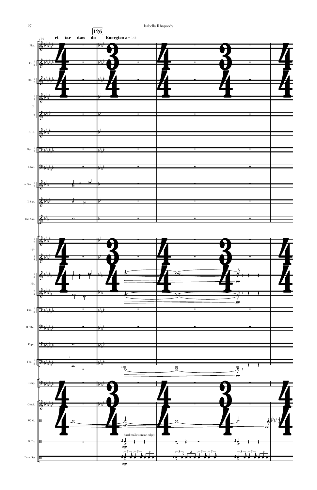![](_page_26_Figure_0.jpeg)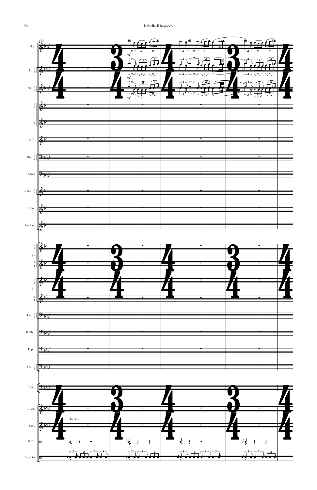![](_page_27_Figure_2.jpeg)

![](_page_27_Figure_3.jpeg)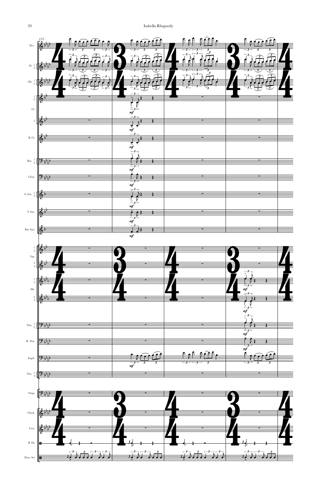![](_page_28_Figure_1.jpeg)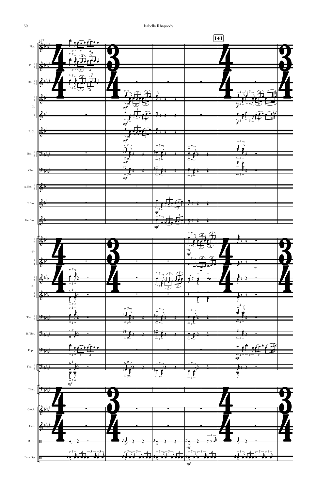![](_page_29_Figure_1.jpeg)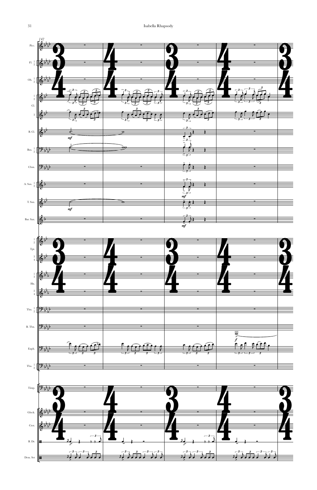![](_page_30_Figure_1.jpeg)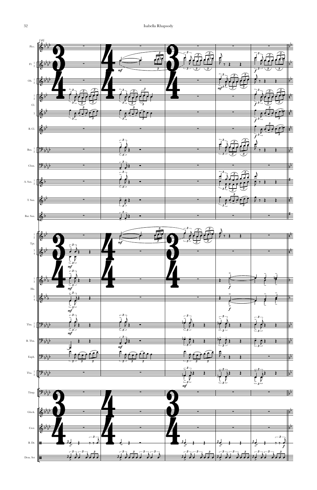![](_page_31_Figure_1.jpeg)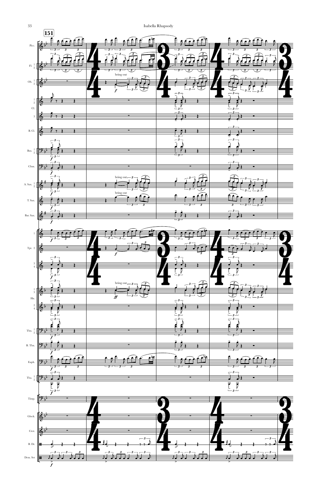![](_page_32_Figure_0.jpeg)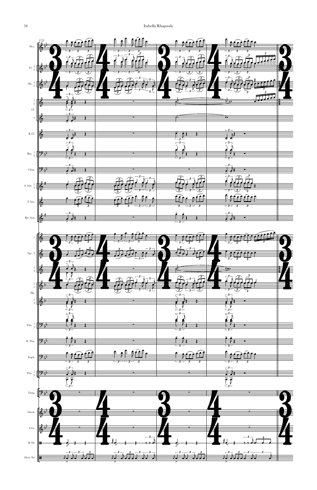![](_page_33_Figure_1.jpeg)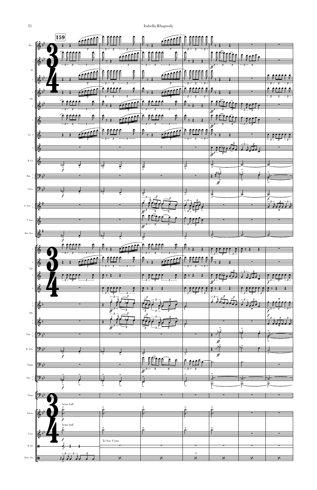![](_page_34_Figure_1.jpeg)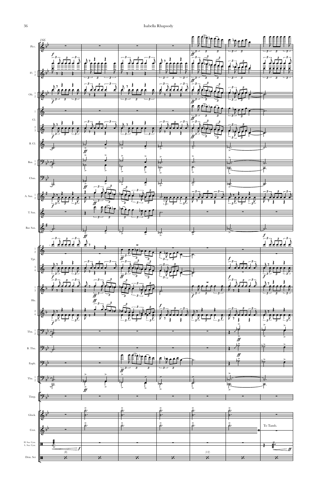![](_page_35_Figure_2.jpeg)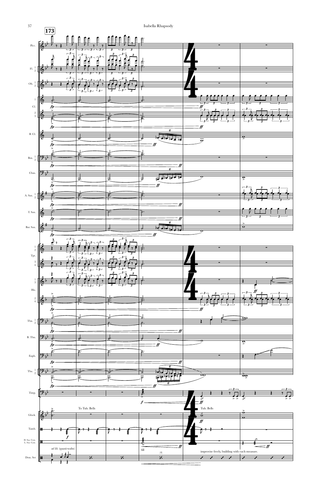![](_page_36_Figure_0.jpeg)